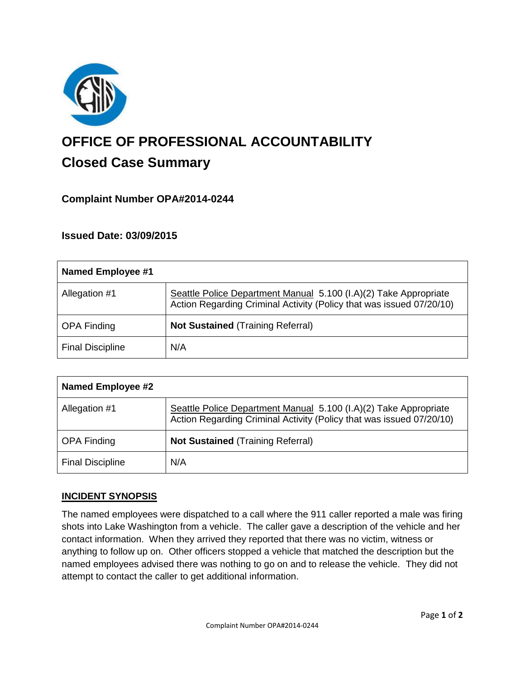

# **OFFICE OF PROFESSIONAL ACCOUNTABILITY Closed Case Summary**

# **Complaint Number OPA#2014-0244**

# **Issued Date: 03/09/2015**

| Named Employee #1       |                                                                                                                                          |
|-------------------------|------------------------------------------------------------------------------------------------------------------------------------------|
| Allegation #1           | Seattle Police Department Manual 5.100 (I.A)(2) Take Appropriate<br>Action Regarding Criminal Activity (Policy that was issued 07/20/10) |
| <b>OPA Finding</b>      | <b>Not Sustained (Training Referral)</b>                                                                                                 |
| <b>Final Discipline</b> | N/A                                                                                                                                      |

| Named Employee #2       |                                                                                                                                          |
|-------------------------|------------------------------------------------------------------------------------------------------------------------------------------|
| Allegation #1           | Seattle Police Department Manual 5.100 (I.A)(2) Take Appropriate<br>Action Regarding Criminal Activity (Policy that was issued 07/20/10) |
| <b>OPA Finding</b>      | <b>Not Sustained (Training Referral)</b>                                                                                                 |
| <b>Final Discipline</b> | N/A                                                                                                                                      |

#### **INCIDENT SYNOPSIS**

The named employees were dispatched to a call where the 911 caller reported a male was firing shots into Lake Washington from a vehicle. The caller gave a description of the vehicle and her contact information. When they arrived they reported that there was no victim, witness or anything to follow up on. Other officers stopped a vehicle that matched the description but the named employees advised there was nothing to go on and to release the vehicle. They did not attempt to contact the caller to get additional information.